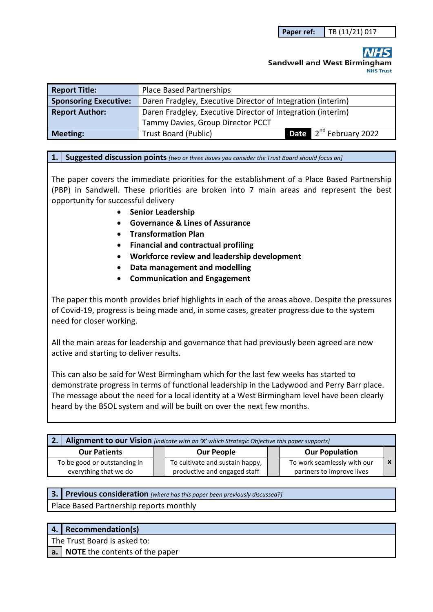# **Sandwell and West Birmingham NHS Trust**

| <b>Report Title:</b>         | <b>Place Based Partnerships</b>                             |                                    |  |
|------------------------------|-------------------------------------------------------------|------------------------------------|--|
| <b>Sponsoring Executive:</b> | Daren Fradgley, Executive Director of Integration (interim) |                                    |  |
| <b>Report Author:</b>        | Daren Fradgley, Executive Director of Integration (interim) |                                    |  |
|                              | Tammy Davies, Group Director PCCT                           |                                    |  |
| <b>Meeting:</b>              | <b>Trust Board (Public)</b>                                 | Date 2 <sup>nd</sup> February 2022 |  |

#### **1. Suggested discussion points** *[two or three issues you consider the Trust Board should focus on]*

The paper covers the immediate priorities for the establishment of a Place Based Partnership (PBP) in Sandwell. These priorities are broken into 7 main areas and represent the best opportunity for successful delivery

- **Senior Leadership**
- **Governance & Lines of Assurance**
- **Transformation Plan**
- **Financial and contractual profiling**
- **Workforce review and leadership development**
- **Data management and modelling**
- **Communication and Engagement**

The paper this month provides brief highlights in each of the areas above. Despite the pressures of Covid-19, progress is being made and, in some cases, greater progress due to the system need for closer working.

All the main areas for leadership and governance that had previously been agreed are now active and starting to deliver results.

This can also be said for West Birmingham which for the last few weeks has started to demonstrate progress in terms of functional leadership in the Ladywood and Perry Barr place. The message about the need for a local identity at a West Birmingham level have been clearly heard by the BSOL system and will be built on over the next few months.

| Alignment to our Vision [indicate with an 'X' which Strategic Objective this paper supports] |  |                                                                 |  |                                                          |  |
|----------------------------------------------------------------------------------------------|--|-----------------------------------------------------------------|--|----------------------------------------------------------|--|
| <b>Our Patients</b>                                                                          |  | <b>Our People</b>                                               |  | <b>Our Population</b>                                    |  |
| To be good or outstanding in<br>everything that we do                                        |  | To cultivate and sustain happy,<br>productive and engaged staff |  | To work seamlessly with our<br>partners to improve lives |  |

| <b>3.</b> Previous consideration [where has this paper been previously discussed?] |  |  |  |  |  |
|------------------------------------------------------------------------------------|--|--|--|--|--|
| Place Based Partnership reports monthly                                            |  |  |  |  |  |

| 4.   Recommendation(s)            |
|-----------------------------------|
| The Trust Board is asked to:      |
| a. NOTE the contents of the paper |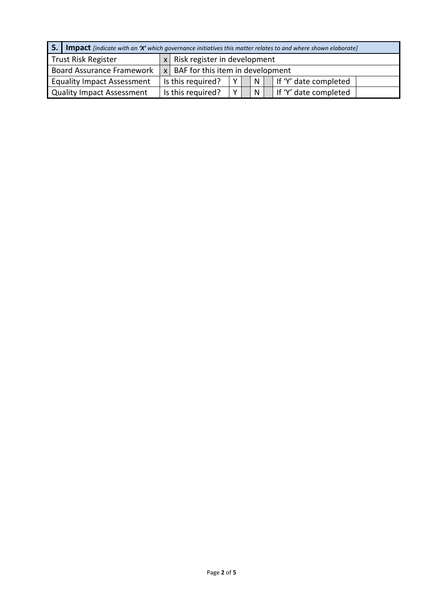|                                   | <b>5.</b> Impact <i>[indicate with an 'X' which governance initiatives this matter relates to and where shown elaborate]</i> |                                      |   |  |   |                       |
|-----------------------------------|------------------------------------------------------------------------------------------------------------------------------|--------------------------------------|---|--|---|-----------------------|
| Trust Risk Register               | x <sub>1</sub>                                                                                                               | Risk register in development         |   |  |   |                       |
| Board Assurance Framework         |                                                                                                                              | $x$ BAF for this item in development |   |  |   |                       |
| <b>Equality Impact Assessment</b> |                                                                                                                              | Is this required?                    |   |  | N | If 'Y' date completed |
| Quality Impact Assessment         |                                                                                                                              | Is this required?                    | v |  | N | If 'Y' date completed |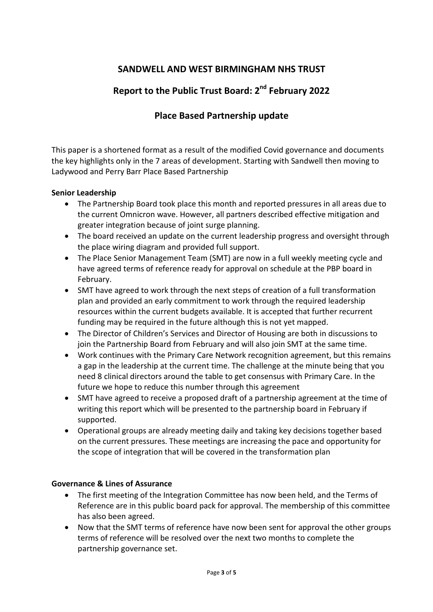# **SANDWELL AND WEST BIRMINGHAM NHS TRUST**

# **Report to the Public Trust Board: 2nd February 2022**

# **Place Based Partnership update**

This paper is a shortened format as a result of the modified Covid governance and documents the key highlights only in the 7 areas of development. Starting with Sandwell then moving to Ladywood and Perry Barr Place Based Partnership

## **Senior Leadership**

- The Partnership Board took place this month and reported pressures in all areas due to the current Omnicron wave. However, all partners described effective mitigation and greater integration because of joint surge planning.
- The board received an update on the current leadership progress and oversight through the place wiring diagram and provided full support.
- The Place Senior Management Team (SMT) are now in a full weekly meeting cycle and have agreed terms of reference ready for approval on schedule at the PBP board in February.
- SMT have agreed to work through the next steps of creation of a full transformation plan and provided an early commitment to work through the required leadership resources within the current budgets available. It is accepted that further recurrent funding may be required in the future although this is not yet mapped.
- The Director of Children's Services and Director of Housing are both in discussions to join the Partnership Board from February and will also join SMT at the same time.
- Work continues with the Primary Care Network recognition agreement, but this remains a gap in the leadership at the current time. The challenge at the minute being that you need 8 clinical directors around the table to get consensus with Primary Care. In the future we hope to reduce this number through this agreement
- SMT have agreed to receive a proposed draft of a partnership agreement at the time of writing this report which will be presented to the partnership board in February if supported.
- Operational groups are already meeting daily and taking key decisions together based on the current pressures. These meetings are increasing the pace and opportunity for the scope of integration that will be covered in the transformation plan

## **Governance & Lines of Assurance**

- The first meeting of the Integration Committee has now been held, and the Terms of Reference are in this public board pack for approval. The membership of this committee has also been agreed.
- Now that the SMT terms of reference have now been sent for approval the other groups terms of reference will be resolved over the next two months to complete the partnership governance set.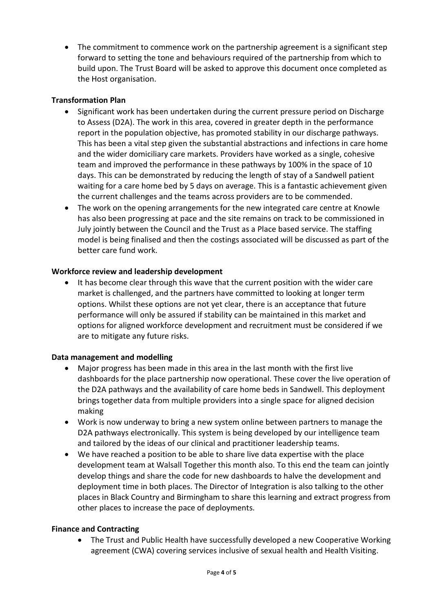The commitment to commence work on the partnership agreement is a significant step forward to setting the tone and behaviours required of the partnership from which to build upon. The Trust Board will be asked to approve this document once completed as the Host organisation.

## **Transformation Plan**

- Significant work has been undertaken during the current pressure period on Discharge to Assess (D2A). The work in this area, covered in greater depth in the performance report in the population objective, has promoted stability in our discharge pathways. This has been a vital step given the substantial abstractions and infections in care home and the wider domiciliary care markets. Providers have worked as a single, cohesive team and improved the performance in these pathways by 100% in the space of 10 days. This can be demonstrated by reducing the length of stay of a Sandwell patient waiting for a care home bed by 5 days on average. This is a fantastic achievement given the current challenges and the teams across providers are to be commended.
- The work on the opening arrangements for the new integrated care centre at Knowle has also been progressing at pace and the site remains on track to be commissioned in July jointly between the Council and the Trust as a Place based service. The staffing model is being finalised and then the costings associated will be discussed as part of the better care fund work.

### **Workforce review and leadership development**

 It has become clear through this wave that the current position with the wider care market is challenged, and the partners have committed to looking at longer term options. Whilst these options are not yet clear, there is an acceptance that future performance will only be assured if stability can be maintained in this market and options for aligned workforce development and recruitment must be considered if we are to mitigate any future risks.

#### **Data management and modelling**

- Major progress has been made in this area in the last month with the first live dashboards for the place partnership now operational. These cover the live operation of the D2A pathways and the availability of care home beds in Sandwell. This deployment brings together data from multiple providers into a single space for aligned decision making
- Work is now underway to bring a new system online between partners to manage the D2A pathways electronically. This system is being developed by our intelligence team and tailored by the ideas of our clinical and practitioner leadership teams.
- We have reached a position to be able to share live data expertise with the place development team at Walsall Together this month also. To this end the team can jointly develop things and share the code for new dashboards to halve the development and deployment time in both places. The Director of Integration is also talking to the other places in Black Country and Birmingham to share this learning and extract progress from other places to increase the pace of deployments.

#### **Finance and Contracting**

 The Trust and Public Health have successfully developed a new Cooperative Working agreement (CWA) covering services inclusive of sexual health and Health Visiting.